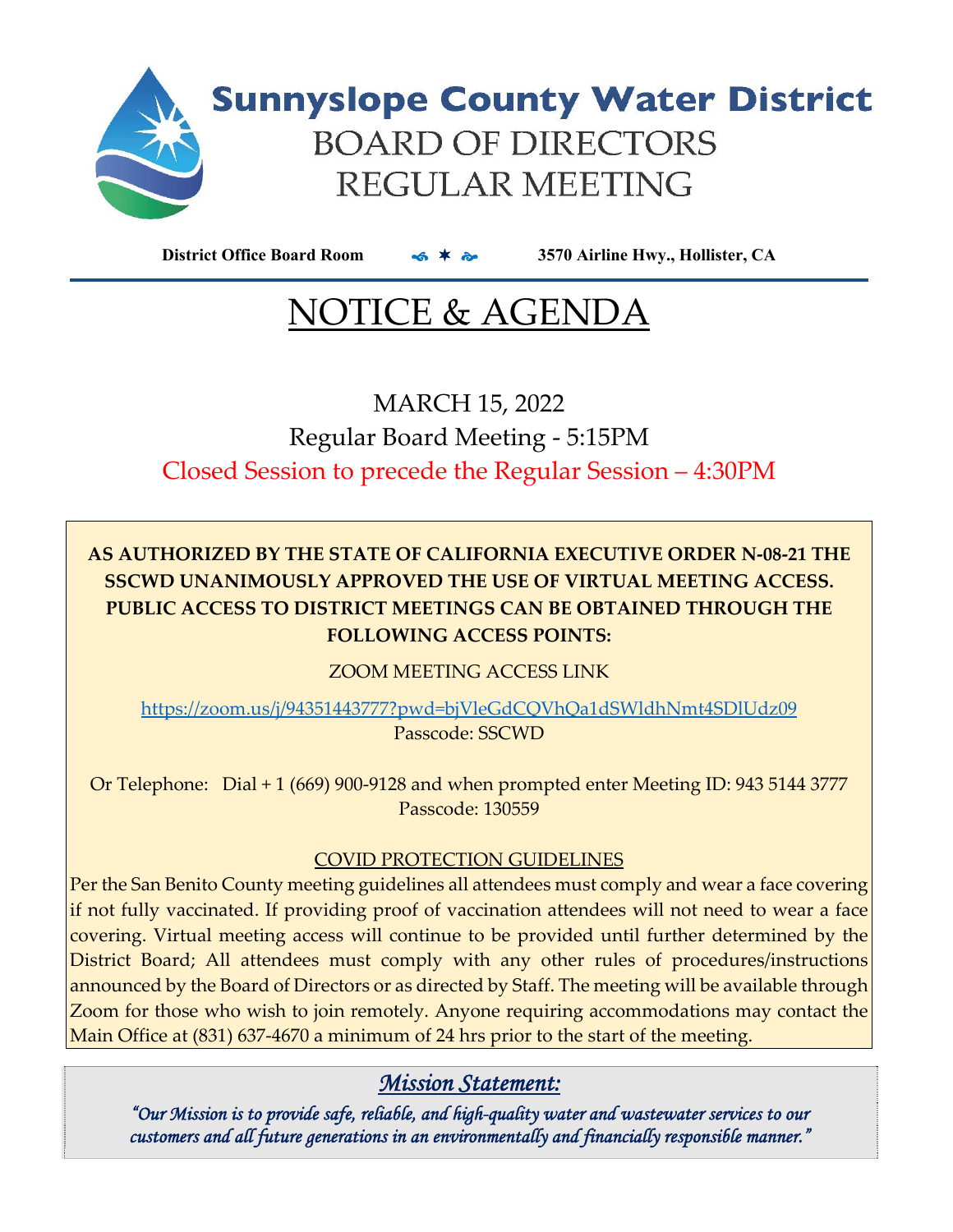

**District Office Board Room 3570 Airline Hwy., Hollister, CA**

# NOTICE & AGENDA

MARCH 15, 2022 Regular Board Meeting ‐ 5:15PM Closed Session to precede the Regular Session – 4:30PM

### **AS AUTHORIZED BY THE STATE OF CALIFORNIA EXECUTIVE ORDER N‐08‐21 THE SSCWD UNANIMOUSLY APPROVED THE USE OF VIRTUAL MEETING ACCESS. PUBLIC ACCESS TO DISTRICT MEETINGS CAN BE OBTAINED THROUGH THE FOLLOWING ACCESS POINTS:**

ZOOM MEETING ACCESS LINK

https://zoom.us/j/94351443777?pwd=bjVleGdCQVhQa1dSWldhNmt4SDlUdz09 Passcode: SSCWD

Or Telephone: Dial + 1 (669) 900‐9128 and when prompted enter Meeting ID: 943 5144 3777 Passcode: 130559

### COVID PROTECTION GUIDELINES

Per the San Benito County meeting guidelines all attendees must comply and wear a face covering if not fully vaccinated. If providing proof of vaccination attendees will not need to wear a face covering. Virtual meeting access will continue to be provided until further determined by the District Board; All attendees must comply with any other rules of procedures/instructions announced by the Board of Directors or as directed by Staff. The meeting will be available through Zoom for those who wish to join remotely. Anyone requiring accommodations may contact the Main Office at (831) 637‐4670 a minimum of 24 hrs prior to the start of the meeting.

### *Mission Statement:*

*"Our Mission is to provide safe, reliable, and high-quality water and wastewater services to our customers and all future generations in an environmentally and financially responsible manner."*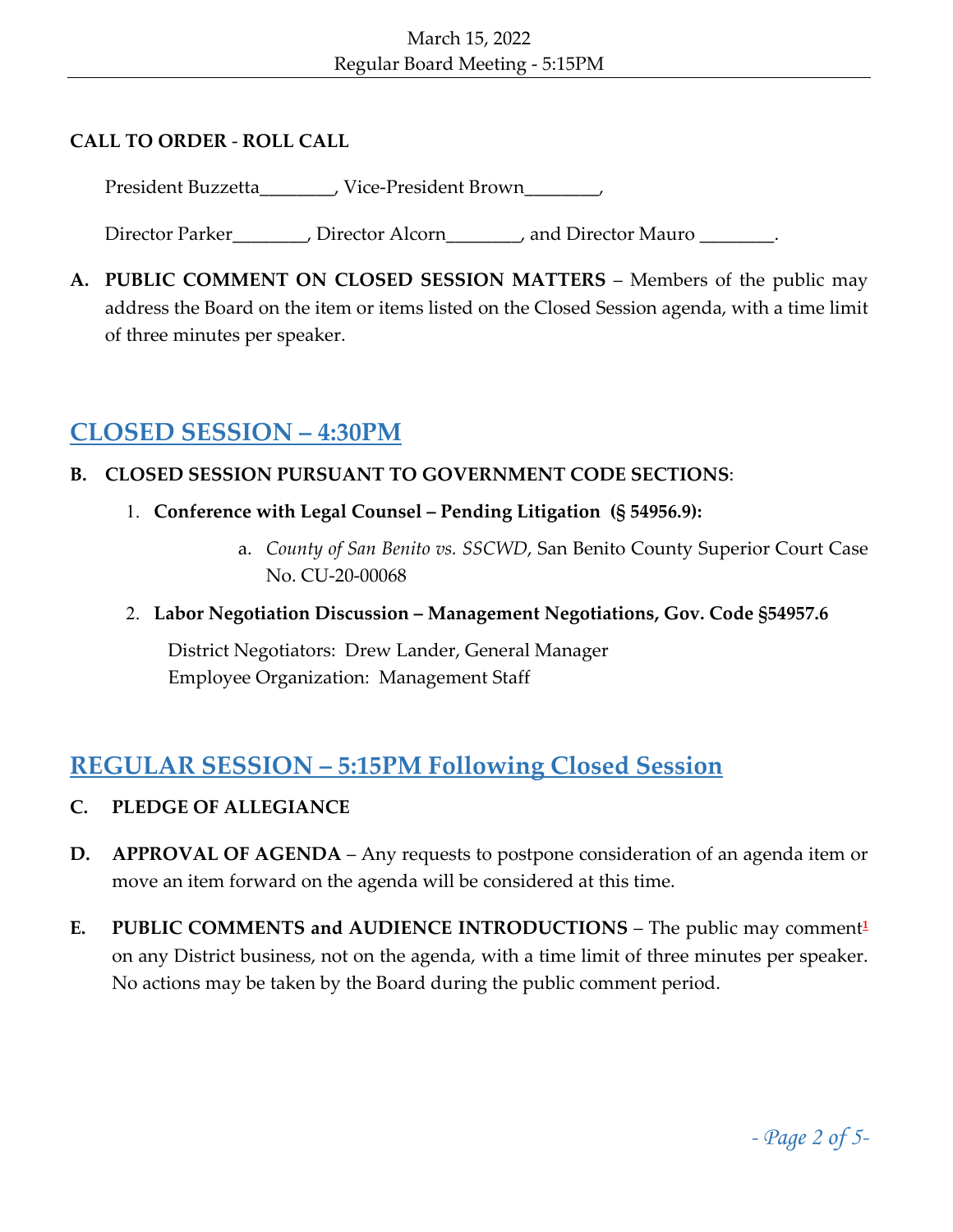### **CALL TO ORDER** ‐ **ROLL CALL**

President Buzzetta\_\_\_\_\_\_\_, Vice-President Brown\_\_\_\_\_\_,

Director Parker\_\_\_\_\_\_\_\_, Director Alcorn\_\_\_\_\_\_\_, and Director Mauro \_\_\_\_\_\_\_\_.

**A. PUBLIC COMMENT ON CLOSED SESSION MATTERS** – Members of the public may address the Board on the item or items listed on the Closed Session agenda, with a time limit of three minutes per speaker.

### **CLOSED SESSION – 4:30PM**

### **B. CLOSED SESSION PURSUANT TO GOVERNMENT CODE SECTIONS**:

- 1. **Conference with Legal Counsel – Pending Litigation (§ 54956.9):**
	- a. *County of San Benito vs. SSCWD*, San Benito County Superior Court Case No. CU‐20‐00068
- 2. **Labor Negotiation Discussion – Management Negotiations, Gov. Code §54957.6**

District Negotiators: Drew Lander, General Manager Employee Organization: Management Staff

### **REGULAR SESSION – 5:15PM Following Closed Session**

- **C. PLEDGE OF ALLEGIANCE**
- **D. APPROVAL OF AGENDA** Any requests to postpone consideration of an agenda item or move an item forward on the agenda will be considered at this time.
- **E. PUBLIC COMMENTS and AUDIENCE INTRODUCTIONS** The public may comment**<sup>1</sup>** on any District business, not on the agenda, with a time limit of three minutes per speaker. No actions may be taken by the Board during the public comment period.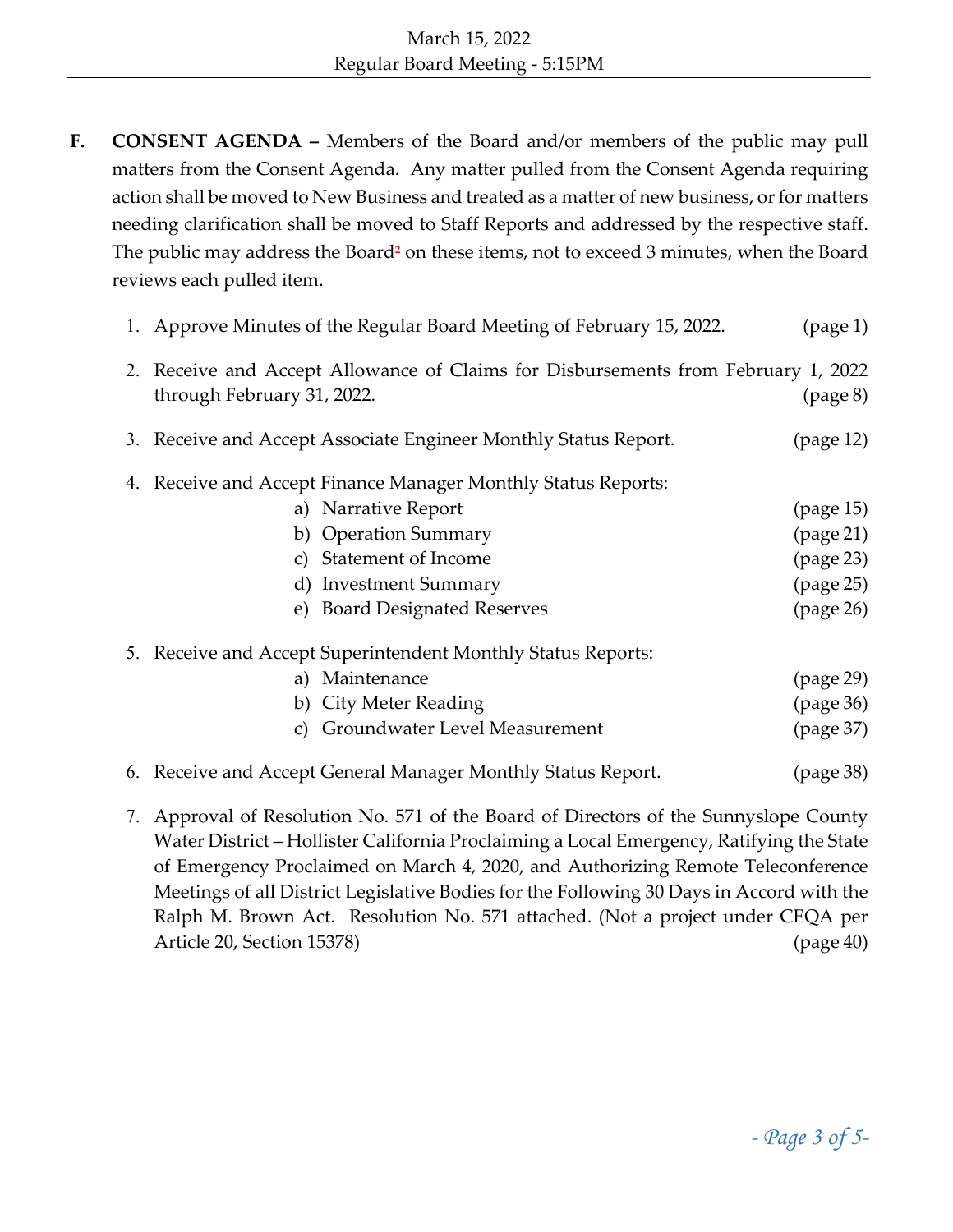**F. CONSENT AGENDA –** Members of the Board and/or members of the public may pull matters from the Consent Agenda. Any matter pulled from the Consent Agenda requiring action shall be moved to New Business and treated as a matter of new business, or for matters needing clarification shall be moved to Staff Reports and addressed by the respective staff. The public may address the Board**<sup>2</sup>** on these items, not to exceed 3 minutes, when the Board reviews each pulled item.

|    | 1. Approve Minutes of the Regular Board Meeting of February 15, 2022.                                           | (page 1)  |
|----|-----------------------------------------------------------------------------------------------------------------|-----------|
|    | 2. Receive and Accept Allowance of Claims for Disbursements from February 1, 2022<br>through February 31, 2022. | (page 8)  |
|    | 3. Receive and Accept Associate Engineer Monthly Status Report.                                                 | (page 12) |
| 4. | Receive and Accept Finance Manager Monthly Status Reports:                                                      |           |
|    | a) Narrative Report                                                                                             | (page 15) |
|    | b) Operation Summary                                                                                            | (page 21) |
|    | <b>Statement of Income</b><br>C)                                                                                | (page 23) |
|    | d) Investment Summary                                                                                           | (page 25) |
|    | e) Board Designated Reserves                                                                                    | (page 26) |
|    | 5. Receive and Accept Superintendent Monthly Status Reports:                                                    |           |
|    | a) Maintenance                                                                                                  | (page 29) |
|    | b) City Meter Reading                                                                                           | (page 36) |
|    | Groundwater Level Measurement<br>C)                                                                             | (page 37) |
|    | 6. Receive and Accept General Manager Monthly Status Report.                                                    | (page 38) |

7. Approval of Resolution No. 571 of the Board of Directors of the Sunnyslope County Water District – Hollister California Proclaiming a Local Emergency, Ratifying the State of Emergency Proclaimed on March 4, 2020, and Authorizing Remote Teleconference Meetings of all District Legislative Bodies for the Following 30 Days in Accord with the Ralph M. Brown Act. Resolution No. 571 attached. (Not a project under CEQA per Article 20, Section 15378) (page 40)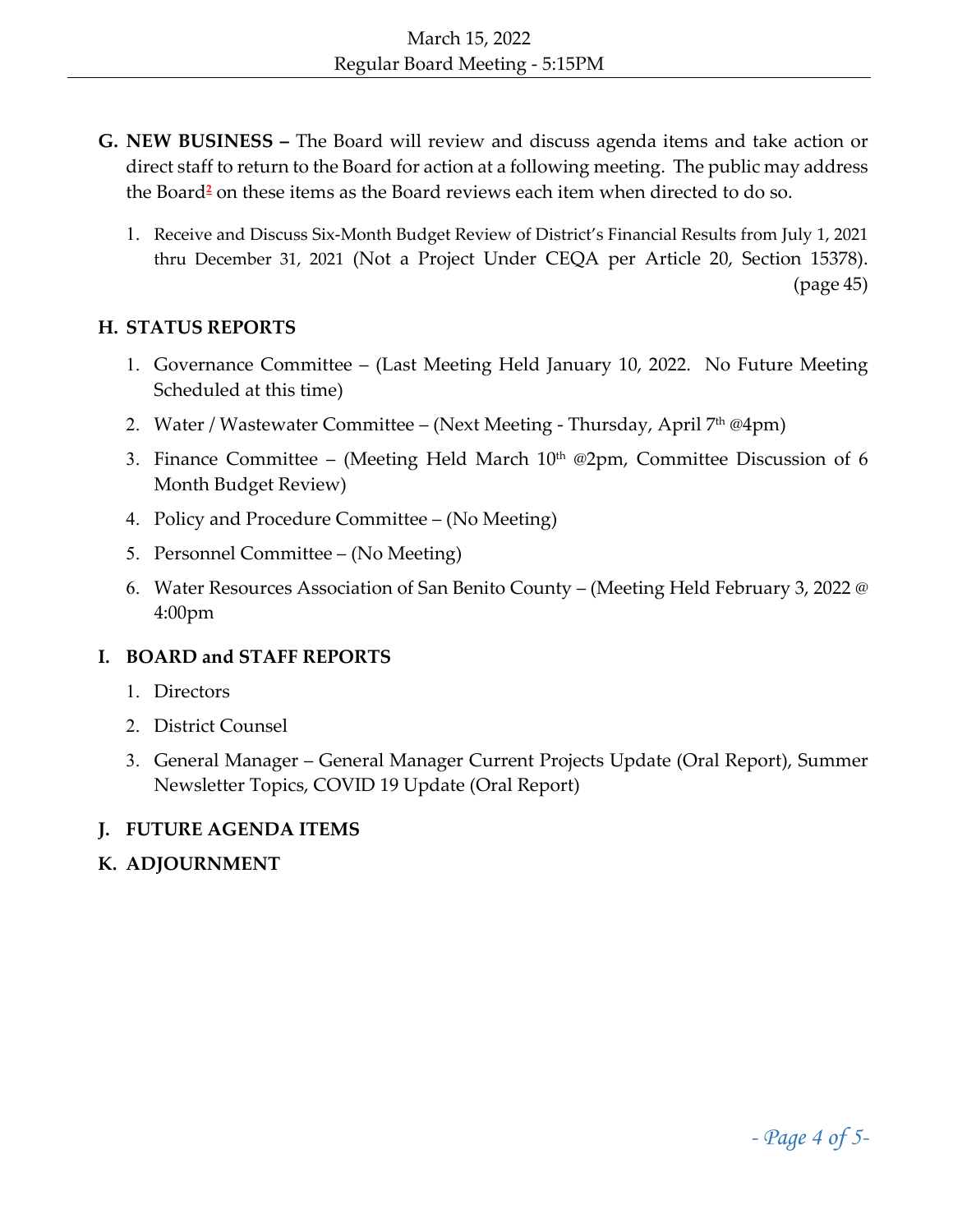- **G. NEW BUSINESS –** The Board will review and discuss agenda items and take action or direct staff to return to the Board for action at a following meeting. The public may address the Board**<sup>2</sup>** on these items as the Board reviews each item when directed to do so.
	- 1. Receive and Discuss Six‐Month Budget Review of District's Financial Results from July 1, 2021 thru December 31, 2021 (Not a Project Under CEQA per Article 20, Section 15378). (page 45)

#### **H. STATUS REPORTS**

- 1. Governance Committee (Last Meeting Held January 10, 2022. No Future Meeting Scheduled at this time)
- 2. Water / Wastewater Committee (Next Meeting Thursday, April 7<sup>th</sup> @4pm)
- 3. Finance Committee (Meeting Held March  $10<sup>th</sup>$  @2pm, Committee Discussion of 6 Month Budget Review)
- 4. Policy and Procedure Committee (No Meeting)
- 5. Personnel Committee (No Meeting)
- 6. Water Resources Association of San Benito County (Meeting Held February 3, 2022 @ 4:00pm

### **I. BOARD and STAFF REPORTS**

- 1. Directors
- 2. District Counsel
- 3. General Manager General Manager Current Projects Update (Oral Report), Summer Newsletter Topics, COVID 19 Update (Oral Report)

### **J. FUTURE AGENDA ITEMS**

### **K. ADJOURNMENT**